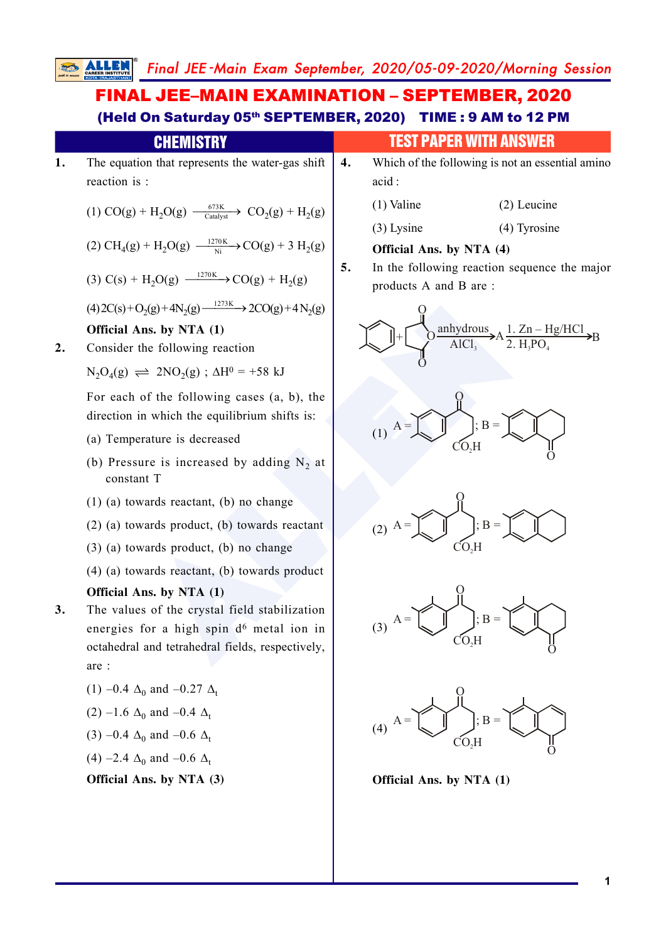# FINAL JEE–MAIN EXAMINATION – SEPTEMBER, 2020 (Held On Saturday 05th SEPTEMBER, 2020) TIME : 9 AM to 12 PM

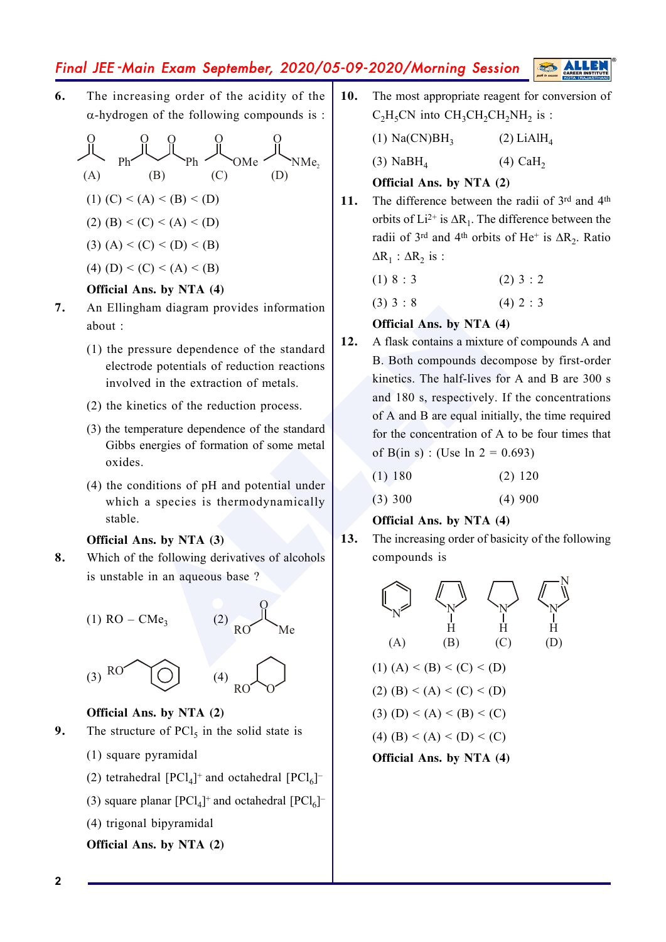**6.** The increasing order of the acidity of the  $\alpha$ -hydrogen of the following compounds is :

O O Ph O Ph O OMe O NMe 2 (A) (B) (C) (D) (1) (C) < (A) < (B) < (D) (2) (B) < (C) < (A) < (D) (3) (A) < (C) < (D) < (B) (4) (D) < (C) < (A) < (B)

### **Official Ans. by NTA (4)**

- **7.** An Ellingham diagram provides information about :
	- (1) the pressure dependence of the standard electrode potentials of reduction reactions involved in the extraction of metals.
	- (2) the kinetics of the reduction process.
	- (3) the temperature dependence of the standard Gibbs energies of formation of some metal oxides.
	- (4) the conditions of pH and potential under which a species is thermodynamically stable.

(2)

#### **Official Ans. by NTA (3)**

**8.** Which of the following derivatives of alcohols is unstable in an aqueous base ?

$$
(1) RO - CMe3
$$

O RO Me

O



### **Official Ans. by NTA (2)**

- **9.** The structure of  $\text{PCl}_5$  in the solid state is
	- (1) square pyramidal
	- (2) tetrahedral  $[PCl_4]^+$  and octahedral  $[PCl_6]^+$
	- (3) square planar  $[PCl_4]^+$  and octahedral  $[PCl_6]^+$
	- (4) trigonal bipyramidal

**Official Ans. by NTA (2)**

**10.** The most appropriate reagent for conversion of  $C_2H_5CN$  into  $CH_3CH_2CH_2NH_2$  is :

> $(1)$  Na(CN)BH<sub>3</sub>  $(2)$  LiAl $H_4$

(3) NaBH 4 (4) CaH 2

### **Official Ans. by NTA (2)**

11. The difference between the radii of 3rd and 4<sup>th</sup> orbits of  $Li^{2+}$  is  $\Delta R_1$ . The difference between the radii of  $3^{rd}$  and  $4^{th}$  orbits of He<sup>+</sup> is  $\Delta R_2$ . Ratio  $\Delta R_1$  :  $\Delta R_2$  is :

(1)  $8 : 3$  (2)  $3 : 2$ 

 $(3)$  3 : 8  $(4)$  2 : 3

### **Official Ans. by NTA (4)**

Expanding to the standard resume dependence of the standard<br>
ressure dependence of the standard<br>
ressure dependence of the standard<br>
all 2. A flask contains a mixture of cor-<br>
and 180 s, respectively. If the<br>
interiors of **12.** A flask contains a mixture of compounds A and B. Both compounds decompose by first-order kinetics. The half-lives for A and B are 300 s and 180 s, respectively. If the concentrations of A and B are equal initially, the time required for the concentration of A to be four times that of B(in s) : (Use  $\ln 2 = 0.693$ )

| (1) 180 | $(2)$ 120 |
|---------|-----------|
|         |           |

(3) 300 (4) 900

### **Official Ans. by NTA (4)**

**13.** The increasing order of basicity of the following compounds is

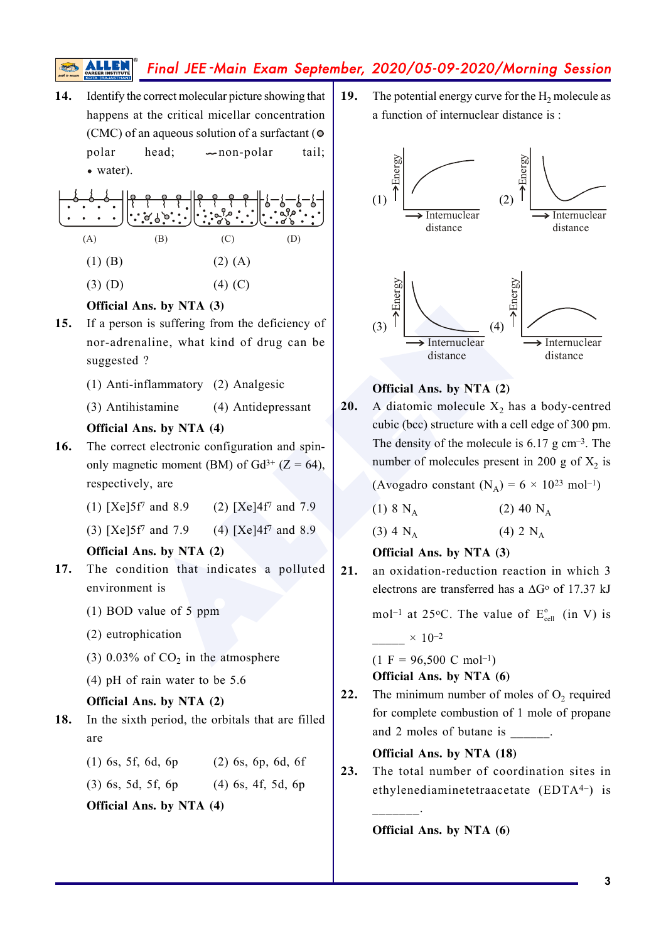**14.** Identify the correct molecular picture showing that happens at the critical micellar concentration (CMC) of an aqueous solution of a surfactant ( polar head;  $\sim$  non-polar tail; water).

(A) (B) (C) (D) (1) (B) (2) (A)

 $(3)$  (D)  $(4)$  (C)

## **Official Ans. by NTA (3)**

- **15.** If a person is suffering from the deficiency of nor-adrenaline, what kind of drug can be suggested ?
	- (1) Anti-inflammatory (2) Analgesic
	- (3) Antihistamine (4) Antidepressant

### **Official Ans. by NTA (4)**

- **16.** The correct electronic configuration and spinonly magnetic moment (BM) of  $Gd^{3+}$  (Z = 64), respectively, are
	- (1)  $[Xe]5f^7$  and 8.9 (2)  $[Xe]4f^7$  and 7.9
	- (3)  $[Xe]5f'$  and 7.9 (4)  $[Xe]4f'$  and 8.9

## **Official Ans. by NTA (2)**

- **17.** The condition that indicates a polluted environment is
	- (1) BOD value of 5 ppm
	- (2) eutrophication
	- (3) 0.03% of  $CO<sub>2</sub>$  in the atmosphere
	- (4) pH of rain water to be 5.6

### **Official Ans. by NTA (2)**

- **18.** In the sixth period, the orbitals that are filled are
	- (1) 6s, 5f, 6d, 6p (2) 6s, 6p, 6d, 6f

(3) 6s, 5d, 5f, 6p (4) 6s, 4f, 5d, 6p

**Official Ans. by NTA (4)**

**19.** The potential energy curve for the  $H_2$  molecule as a function of internuclear distance is :



### **Official Ans. by NTA (2)**

**20.** A diatomic molecule  $X_2$  has a body-centred cubic (bcc) structure with a cell edge of 300 pm. The density of the molecule is  $6.17$  g cm<sup>-3</sup>. The number of molecules present in 200 g of  $X_2$  is

(Avogadro constant  $(N_A) = 6 \times 10^{23}$  mol<sup>-1</sup>)

| $(1) 8 N_A$ | $(2)$ 40 N <sub>A</sub> |
|-------------|-------------------------|
| $(3) 4 N_A$ | $(4)$ 2 N <sub>A</sub>  |

### **Official Ans. by NTA (3)**

**21.** an oxidation-reduction reaction in which 3 electrons are transferred has a  $\Delta G^{\circ}$  of 17.37 kJ

> mol<sup>-1</sup> at 25<sup>o</sup>C. The value of  $E_{cell}^{o}$  (in V) is  $\times$  10–2

 $(1 F = 96,500 C mol^{-1})$ **Official Ans. by NTA (6)**

**22.** The minimum number of moles of  $O_2$  required for complete combustion of 1 mole of propane and 2 moles of butane is  $\qquad \qquad$ 

**Official Ans. by NTA (18)**

**23.** The total number of coordination sites in ethylenediaminetetraacetate (EDTA4–) is

**Official Ans. by NTA (6)**

 $\mathcal{L}_\text{max}$